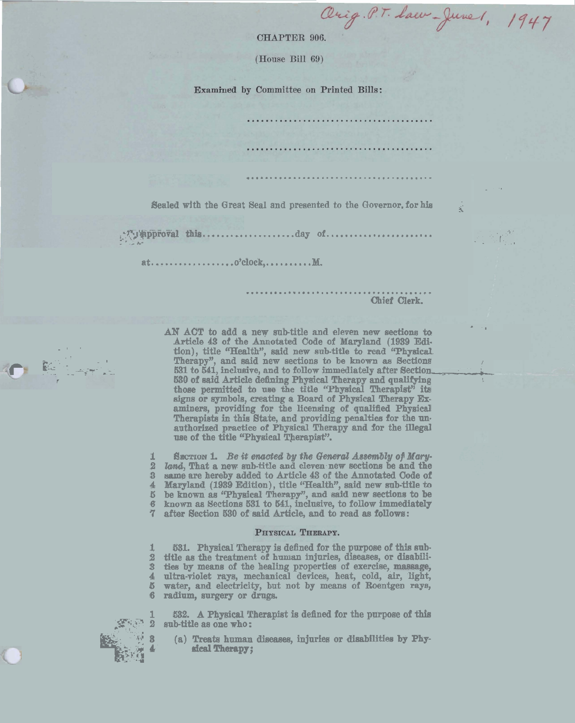Orig. P.T. Law-June1, 1947

CHAPTER 906.

(House Bill 69)

Examined by Committee on Printed Bills:

Sealed with the Great Seal and presented to the Governor, for his

at...................o'clock,............ M.

## Chief Clerk.

AN ACT to add a new sub-title and eleven new sections to Article 43 of the Annotated Code of Maryland (1939 Edi-Hittle 45 of the Annuated Code of Maryland (1333 Edition), title "Health", said new sub-title to read "Physical.<br>Therapy", and said new sections to be known as Sections<br>531 to 541, inclusive, and to follow immediately afte 530 of said Article defining Physical Therapy and qualifying those permitted to use the title "Physical Therapist" its signs or symbols, creating a Board of Physical Therapy Examiners, providing for the licensing of qualified Physical Therapists in this State, and providing penalties for the unauthorized practice of Physical Therapy and for the illegal use of the title "Physical Therapist".

1 SECTION 1. Be it enacted by the General Assembly of Mary-2 land, That a new sub-title and eleven new sections be and the 3 same are hereby added to Article 43 of the Annotated Code of 4 Maryland (1939 Edition), title "Health", said new sub-title to 5 be known as "Physical Therapy", and said new sections to be known as Sections 531 to 541, inclusive, to follow immediately after Section 530 of said Article, and to read as follows: 7

## PHYSICAL THERAPY.

531. Physical Therapy is defined for the purpose of this subtitle as the treatment of human injuries, diseases, or disabili-1  $\overline{2}$ 3 ties by means of the healing properties of exercise, massage, 4 ultra-violet rays, mechanical devices, heat, cold, air, light, 5 water, and electricity, but not by means of Roentgen rays, radium, surgery or drugs. 6



532. A Physical Therapist is defined for the purpose of this sub-title as one who:

(a) Treats human diseases, injuries or disabilities by Physical Therapy: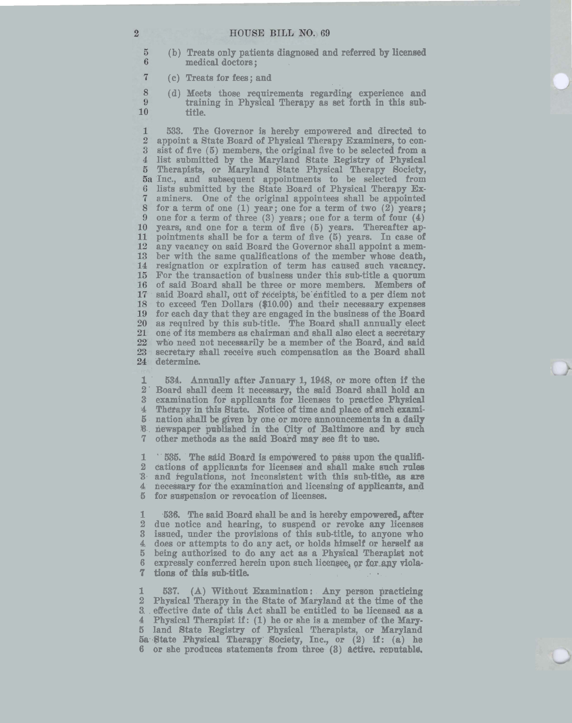(b) Treats only patients diagnosed and referred by licensed medical doctors;

 $\overline{7}$ (c) Treats for fees; and

(d) Meets those requirements regarding experience and training in Physical Therapy as set forth in this subtitle.

 $\mathbf{1}$ *533.* The Governor is hereby empowered and directed to  $\overline{2}$ appoint a State Board of Physical Therapy Examiners, to con- $\mathbf{3}$ sist of five **(5)** members, the original five to be selected from a  $\overline{\mathcal{A}}$ list submitted by the Maryland State Registry of Physical Therapists, or Maryland State Physical Therapy Society, Ine., and subsequent appointments to be selected from 6 lists submitted by the State Board of Physical Therapy Ex- $\overline{7}$ aminers. One of the original appointees shall be appointed 8 for a term of one (1) year; one for a term of two (2) years; one for a term of three **(3)** years; one for a term of four (4) years, and one for a term of five **(5)** years. Thereafter appointments shall be for a term of five **(5)** years. In case of any vacancy on said Board the Governor shall appoint a mem-13 ber with the same qualifications of the member whose death, 14 resignation or expiration of term has caused such vacancy. For the transaction of bnsiness under this sub-title a quorum 16 of said Board shall be three or more members. Members of 17 said Board shall, out of receipts, be entitled to a per diem not 18 to exceed Ten Dollars (\$10.00) and their necessary expenses for each day that they are engaged in the business of the Board 19 20 as required by this sub-title. The Board shall annually elect  $21$ one of its members as chairman and shall also elect a secretary  $22$ who need not necessarily be a member of the Board, and said  $23$ secretary shall receive such compensation as the Board shall  $24$ determine.

**1 534.** Annually after January **1,** 1948, or more often if the 2. Board shall deem it necessary, the said Board shall hold an 3. examination for applicants for licenses to practice Physical 3 examination for applicants for licenses to practice Physical 4 Therapy in this State. Notice of time and place of such exami-<br>5 nation shall be given by one or more announcements in a daily **5** nation shall be given by one or more announcements in a daily *8* newspaper **pmfdisM** in the **City** of Baltimore and by such **<sup>7</sup>**other methods **as** the **said** Boaid may aee fit to **use.** 

1 **1 <b>1535.** The said Board is empowered to pass upon the qualifications of applicants for licenses and shall make such rules  $\frac{3 \cdot 200}{200}$  featurations not inconsistent with this sub-title as are 2 cations of applicants for licenses and shall make such rules<br>3 and regulations, not inconsistent with this sub-title, as are<br>4 necessary for the examination and licensing of applicants, and 4 necessary for the examination and licensing of applicants, and 5 for suspension or revocation of licenses. **5** for suspension or revocation of licenses.

1 **536.** The said Board shall be and is hereby empowered, after <br>2 due notice and hearing, to suspend or revoke any licenses 2 due notice and hearing, to suspend or revoke any licenses 3 issued, under the provisions of this sub-title, to anyone who issued, under the provisions of this sub-title, to anyone who 4 does or attempts to do any act, or holds himself or herself as 5 being authorized to do any act as a Physical Therapist not 5 being authorized to do any act as a Physical Therapist not 6 expressly conferred herein upon such licensee, or for any violaexpressly conferred herein upon such licensee, or for any viola-**7** tions of **this srob-title.** . .

1 537. (A) Without Examination: Any person practicing<br>2 Physical Therany in the State of Maryland at the time of the 2 Physical Therapy in the **State** of Maryland at the time of the 3. effective date of thig Act **shall** be entitled to he licensed **w** a Physical Therapist if: (1) he or she is a member of the Mary-**5** land 0tate Registry of Physical Therapists, or Maryland 5a State Physical Therapy Society, Inc., or (2) If: (a) he 6 or she produces statements from three  $(3)$  active. reputable.

 $\overline{2}$ 

 $\overline{5}$  $6\phantom{.}6$ 

8 9  $10$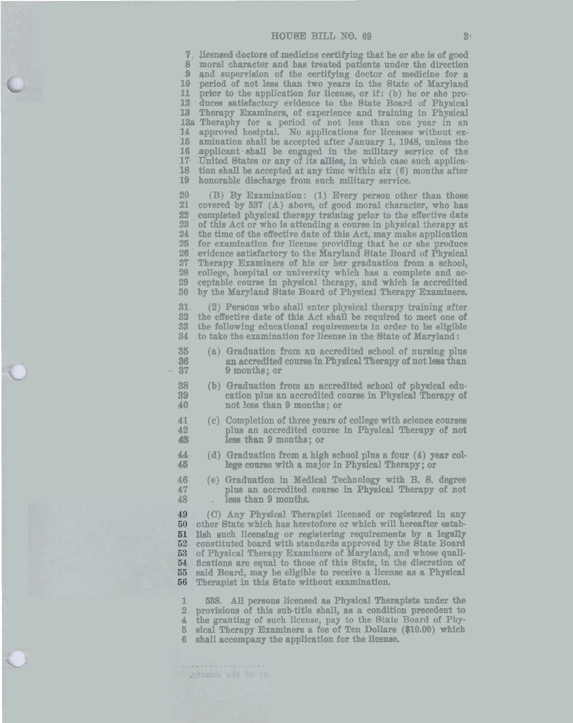7. licensed doctors of medicine certifying that he or she is of good  $\mathbf{R}$ moral character and has treated patients under the direction  $\mathbf{Q}$ and supervision of the certifying doctor of medicine for a 10 period of not less than two years in the State of Maryland  $11$ prior to the application for license, or if: (b) he or she pro- $12<sub>1</sub>$ duces satisfactory evidence to the State Board of Physical 13 Therapy Examiners, of experience and training in Physical 13a Theraphy for a period of not less than one year in an 14 approved hosiptal. No applications for licenses without ex- $15<sub>1</sub>$ amination shall be accepted after January 1, 1948, unless the 16 applicant shall be engaged in the military service of the  $17 -$ United States or any of its allies, in which case such applica- $18<sup>°</sup>$ tion shall be accepted at any time within six (6) months after  $19<sup>°</sup>$ honorable discharge from such military service.

20  $(B)$  By Examination: (1) Every person other than those  $21$ covered by 537 (A) above, of good moral character, who has 22 completed physical therapy training prior to the effective date 23 of this Act or who is attending a course in physical therapy at the time of the effective date of this Act, may make application  $24$ for examination for license providing that he or she produce  $25$ evidence satisfactory to the Maryland State Board of Physical  $2<sub>6</sub>$  $27$ Therapy Examiners of his or her graduation from a school, 28 college, hospital or university which has a complete and acceptable course in physical therapy, and which is accredited 29 30 by the Maryland State Board of Physical Therapy Examiners.

31. (2) Persons who shall enter physical therapy training after 32 the effective date of this Act shall be required to meet one of 33 the following educational requirements in order to be eligible 34 to take the examination for license in the State of Maryland:

35

36

 $\overline{37}$ 

39

40

41

45

46

47

48

**\*\*\*\*\*\*\*\*\*\*\*\*\*\*\*\*\*\*** ot of the Senate,

- (a) Graduation from an accredited school of nursing plus an accredited course in Physical Therapy of not less than 9 months; or
- (b) Graduation from an accredited school of physical edu-38 cation plus an accredited course in Physical Therapy of not less than 9 months; or
- (c) Completion of three years of college with science courses  $42$ plus an accredited course in Physical Therapy of not 43 less than 9 months; or
- 44 (d) Graduation from a high school plus a four  $(4)$  year college course with a major in Physical Therapy; or
	- (e) Graduation in Medical Technology with B. S. degree plus an accredited course in Physical Therapy of not less than 9 months.

49 (C) Any Physical Therapist licensed or registered in any 50 other State which has heretofore or which will hereafter establish such licensing or registering requirements by a legally 51 52 constituted board with standards approved by the State Board of Physical Therapy Examiners of Maryland, and whose quali-53 fications are equal to those of this State, in the discretion of 54 said Board, may be eligible to receive a license as a Physical 55 Therapist in this State without examination. 56

 $\mathbf{1}$ 538. All persons licensed as Physical Therapists under the  $\overline{2}$ provisions of this sub-title shall, as a condition precedent to the granting of such license, pay to the State Board of Phy-4 sical Therapy Examiners a fee of Ten Dollars (\$10.00) which  $\overline{5}$ shall accompany the application for the license.  $\bf{6}$